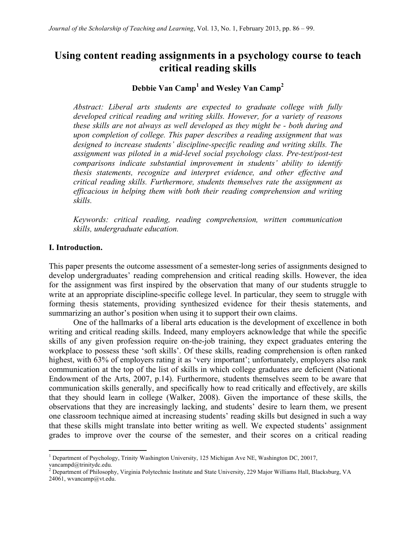# **Using content reading assignments in a psychology course to teach critical reading skills**

## **Debbie Van Camp1 and Wesley Van Camp<sup>2</sup>**

*Abstract: Liberal arts students are expected to graduate college with fully developed critical reading and writing skills. However, for a variety of reasons these skills are not always as well developed as they might be - both during and upon completion of college. This paper describes a reading assignment that was designed to increase students' discipline-specific reading and writing skills. The assignment was piloted in a mid-level social psychology class. Pre-test/post-test comparisons indicate substantial improvement in students' ability to identify thesis statements, recognize and interpret evidence, and other effective and critical reading skills. Furthermore, students themselves rate the assignment as efficacious in helping them with both their reading comprehension and writing skills.* 

*Keywords: critical reading, reading comprehension, written communication skills, undergraduate education.*

#### **I. Introduction.**

<u> 1989 - Johann Stein, fransk politik (d. 1989)</u>

This paper presents the outcome assessment of a semester-long series of assignments designed to develop undergraduates' reading comprehension and critical reading skills. However, the idea for the assignment was first inspired by the observation that many of our students struggle to write at an appropriate discipline-specific college level. In particular, they seem to struggle with forming thesis statements, providing synthesized evidence for their thesis statements, and summarizing an author's position when using it to support their own claims.

One of the hallmarks of a liberal arts education is the development of excellence in both writing and critical reading skills. Indeed, many employers acknowledge that while the specific skills of any given profession require on-the-job training, they expect graduates entering the workplace to possess these 'soft skills'. Of these skills, reading comprehension is often ranked highest, with 63% of employers rating it as 'very important'; unfortunately, employers also rank communication at the top of the list of skills in which college graduates are deficient (National Endowment of the Arts, 2007, p.14). Furthermore, students themselves seem to be aware that communication skills generally, and specifically how to read critically and effectively, are skills that they should learn in college (Walker, 2008). Given the importance of these skills, the observations that they are increasingly lacking, and students' desire to learn them, we present one classroom technique aimed at increasing students' reading skills but designed in such a way that these skills might translate into better writing as well. We expected students' assignment grades to improve over the course of the semester, and their scores on a critical reading

<sup>&</sup>lt;sup>1</sup> Department of Psychology, Trinity Washington University, 125 Michigan Ave NE, Washington DC, 20017, vancampd@trinitydc.edu.

<sup>&</sup>lt;sup>2</sup> Department of Philosophy, Virginia Polytechnic Institute and State University, 229 Major Williams Hall, Blacksburg, VA 24061, wvancamp@vt.edu.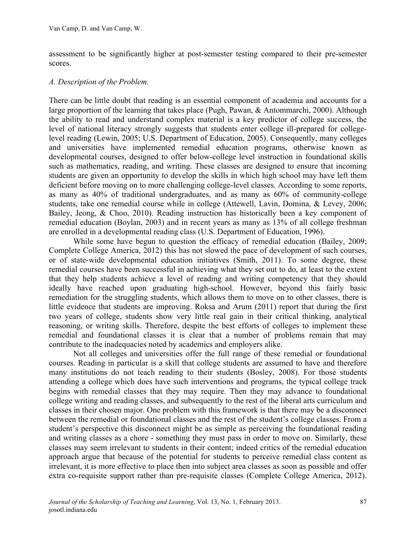assessment to be significantly higher at post-semester testing compared to their pre-semester scores.

#### *A. Description of the Problem.*

There can be little doubt that reading is an essential component of academia and accounts for a large proportion of the learning that takes place (Pugh, Pawan, & Antommarchi, 2000). Although the ability to read and understand complex material is a key predictor of college success, the level of national literacy strongly suggests that students enter college ill-prepared for collegelevel reading (Lewin, 2005; U.S. Department of Education, 2005). Consequently, many colleges and universities have implemented remedial education programs, otherwise known as developmental courses, designed to offer below-college level instruction in foundational skills such as mathematics, reading, and writing. These classes are designed to ensure that incoming students are given an opportunity to develop the skills in which high school may have left them deficient before moving on to more challenging college-level classes. According to some reports, as many as 40% of traditional undergraduates, and as many as 60% of community-college students, take one remedial course while in college (Attewell, Lavin, Domina, & Levey, 2006; Bailey, Jeong, & Choo, 2010). Reading instruction has historically been a key component of remedial education (Boylan, 2003) and in recent years as many as 13% of all college freshman are enrolled in a developmental reading class (U.S. Department of Education, 1996).

While some have begun to question the efficacy of remedial education (Bailey, 2009; Complete College America, 2012) this has not slowed the pace of development of such courses, or of state-wide developmental education initiatives (Smith, 2011). To some degree, these remedial courses have been successful in achieving what they set out to do, at least to the extent that they help students achieve a level of reading and writing competency that they should ideally have reached upon graduating high-school. However, beyond this fairly basic remediation for the struggling students, which allows them to move on to other classes, there is little evidence that students are improving. Roksa and Arum (2011) report that during the first two years of college, students show very little real gain in their critical thinking, analytical reasoning, or writing skills. Therefore, despite the best efforts of colleges to implement these remedial and foundational classes it is clear that a number of problems remain that may contribute to the inadequacies noted by academics and employers alike.

Not all colleges and universities offer the full range of these remedial or foundational courses. Reading in particular is a skill that college students are assumed to have and therefore many institutions do not teach reading to their students (Bosley, 2008). For those students attending a college which does have such interventions and programs, the typical college track begins with remedial classes that they may require. Then they may advance to foundational college writing and reading classes, and subsequently to the rest of the liberal arts curriculum and classes in their chosen major. One problem with this framework is that there may be a disconnect between the remedial or foundational classes and the rest of the student's college classes. From a student's perspective this disconnect might be as simple as perceiving the foundational reading and writing classes as a chore - something they must pass in order to move on. Similarly, these classes may seem irrelevant to students in their content; indeed critics of the remedial education approach argue that because of the potential for students to perceive remedial class content as irrelevant, it is more effective to place then into subject area classes as soon as possible and offer extra co-requisite support rather than pre-requisite classes (Complete College America, 2012).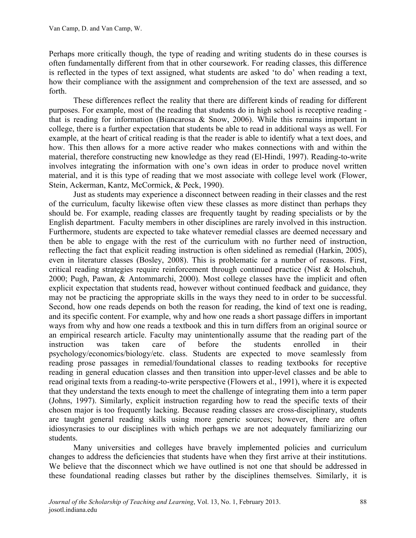Perhaps more critically though, the type of reading and writing students do in these courses is often fundamentally different from that in other coursework. For reading classes, this difference is reflected in the types of text assigned, what students are asked 'to do' when reading a text, how their compliance with the assignment and comprehension of the text are assessed, and so forth.

These differences reflect the reality that there are different kinds of reading for different purposes. For example, most of the reading that students do in high school is receptive reading that is reading for information (Biancarosa & Snow, 2006). While this remains important in college, there is a further expectation that students be able to read in additional ways as well. For example, at the heart of critical reading is that the reader is able to identify what a text does, and how. This then allows for a more active reader who makes connections with and within the material, therefore constructing new knowledge as they read (El-Hindi, 1997). Reading-to-write involves integrating the information with one's own ideas in order to produce novel written material, and it is this type of reading that we most associate with college level work (Flower, Stein, Ackerman, Kantz, McCormick, & Peck, 1990).

Just as students may experience a disconnect between reading in their classes and the rest of the curriculum, faculty likewise often view these classes as more distinct than perhaps they should be. For example, reading classes are frequently taught by reading specialists or by the English department. Faculty members in other disciplines are rarely involved in this instruction. Furthermore, students are expected to take whatever remedial classes are deemed necessary and then be able to engage with the rest of the curriculum with no further need of instruction, reflecting the fact that explicit reading instruction is often sidelined as remedial (Harkin, 2005), even in literature classes (Bosley, 2008). This is problematic for a number of reasons. First, critical reading strategies require reinforcement through continued practice (Nist & Holschuh, 2000; Pugh, Pawan, & Antommarchi, 2000). Most college classes have the implicit and often explicit expectation that students read, however without continued feedback and guidance, they may not be practicing the appropriate skills in the ways they need to in order to be successful. Second, how one reads depends on both the reason for reading, the kind of text one is reading, and its specific content. For example, why and how one reads a short passage differs in important ways from why and how one reads a textbook and this in turn differs from an original source or an empirical research article. Faculty may unintentionally assume that the reading part of the instruction was taken care of before the students enrolled in their psychology/economics/biology/etc. class. Students are expected to move seamlessly from reading prose passages in remedial/foundational classes to reading textbooks for receptive reading in general education classes and then transition into upper-level classes and be able to read original texts from a reading-to-write perspective (Flowers et al., 1991), where it is expected that they understand the texts enough to meet the challenge of integrating them into a term paper (Johns, 1997). Similarly, explicit instruction regarding how to read the specific texts of their chosen major is too frequently lacking. Because reading classes are cross-disciplinary, students are taught general reading skills using more generic sources; however, there are often idiosyncrasies to our disciplines with which perhaps we are not adequately familiarizing our students.

Many universities and colleges have bravely implemented policies and curriculum changes to address the deficiencies that students have when they first arrive at their institutions. We believe that the disconnect which we have outlined is not one that should be addressed in these foundational reading classes but rather by the disciplines themselves. Similarly, it is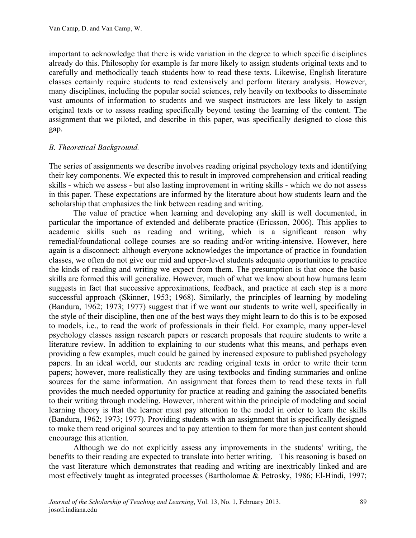important to acknowledge that there is wide variation in the degree to which specific disciplines already do this. Philosophy for example is far more likely to assign students original texts and to carefully and methodically teach students how to read these texts. Likewise, English literature classes certainly require students to read extensively and perform literary analysis. However, many disciplines, including the popular social sciences, rely heavily on textbooks to disseminate vast amounts of information to students and we suspect instructors are less likely to assign original texts or to assess reading specifically beyond testing the learning of the content. The assignment that we piloted, and describe in this paper, was specifically designed to close this gap.

#### *B. Theoretical Background.*

The series of assignments we describe involves reading original psychology texts and identifying their key components. We expected this to result in improved comprehension and critical reading skills - which we assess - but also lasting improvement in writing skills - which we do not assess in this paper. These expectations are informed by the literature about how students learn and the scholarship that emphasizes the link between reading and writing.

The value of practice when learning and developing any skill is well documented, in particular the importance of extended and deliberate practice (Ericsson, 2006). This applies to academic skills such as reading and writing, which is a significant reason why remedial/foundational college courses are so reading and/or writing-intensive. However, here again is a disconnect: although everyone acknowledges the importance of practice in foundation classes, we often do not give our mid and upper-level students adequate opportunities to practice the kinds of reading and writing we expect from them. The presumption is that once the basic skills are formed this will generalize. However, much of what we know about how humans learn suggests in fact that successive approximations, feedback, and practice at each step is a more successful approach (Skinner, 1953; 1968). Similarly, the principles of learning by modeling (Bandura, 1962; 1973; 1977) suggest that if we want our students to write well, specifically in the style of their discipline, then one of the best ways they might learn to do this is to be exposed to models, i.e., to read the work of professionals in their field. For example, many upper-level psychology classes assign research papers or research proposals that require students to write a literature review. In addition to explaining to our students what this means, and perhaps even providing a few examples, much could be gained by increased exposure to published psychology papers. In an ideal world, our students are reading original texts in order to write their term papers; however, more realistically they are using textbooks and finding summaries and online sources for the same information. An assignment that forces them to read these texts in full provides the much needed opportunity for practice at reading and gaining the associated benefits to their writing through modeling. However, inherent within the principle of modeling and social learning theory is that the learner must pay attention to the model in order to learn the skills (Bandura, 1962; 1973; 1977). Providing students with an assignment that is specifically designed to make them read original sources and to pay attention to them for more than just content should encourage this attention.

Although we do not explicitly assess any improvements in the students' writing, the benefits to their reading are expected to translate into better writing. This reasoning is based on the vast literature which demonstrates that reading and writing are inextricably linked and are most effectively taught as integrated processes (Bartholomae & Petrosky, 1986; El-Hindi, 1997;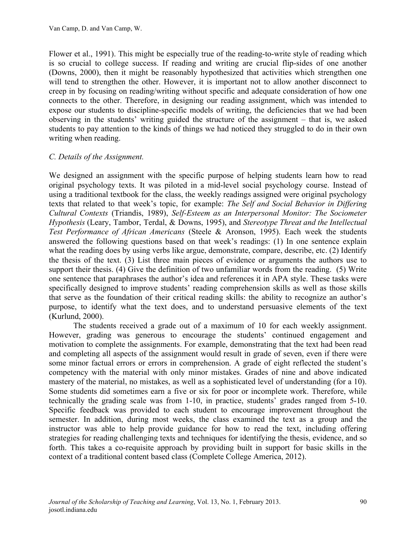Flower et al., 1991). This might be especially true of the reading-to-write style of reading which is so crucial to college success. If reading and writing are crucial flip-sides of one another (Downs, 2000), then it might be reasonably hypothesized that activities which strengthen one will tend to strengthen the other. However, it is important not to allow another disconnect to creep in by focusing on reading/writing without specific and adequate consideration of how one connects to the other. Therefore, in designing our reading assignment, which was intended to expose our students to discipline-specific models of writing, the deficiencies that we had been observing in the students' writing guided the structure of the assignment – that is, we asked students to pay attention to the kinds of things we had noticed they struggled to do in their own writing when reading.

#### *C. Details of the Assignment.*

We designed an assignment with the specific purpose of helping students learn how to read original psychology texts. It was piloted in a mid-level social psychology course. Instead of using a traditional textbook for the class, the weekly readings assigned were original psychology texts that related to that week's topic, for example: *The Self and Social Behavior in Differing Cultural Contexts* (Triandis, 1989), *Self-Esteem as an Interpersonal Monitor: The Sociometer Hypothesis* (Leary, Tambor, Terdal, & Downs, 1995), and *Stereotype Threat and the Intellectual Test Performance of African Americans* (Steele & Aronson, 1995). Each week the students answered the following questions based on that week's readings: (1) In one sentence explain what the reading does by using verbs like argue, demonstrate, compare, describe, etc. (2) Identify the thesis of the text. (3) List three main pieces of evidence or arguments the authors use to support their thesis. (4) Give the definition of two unfamiliar words from the reading. (5) Write one sentence that paraphrases the author's idea and references it in APA style. These tasks were specifically designed to improve students' reading comprehension skills as well as those skills that serve as the foundation of their critical reading skills: the ability to recognize an author's purpose, to identify what the text does, and to understand persuasive elements of the text (Kurlund, 2000).

The students received a grade out of a maximum of 10 for each weekly assignment. However, grading was generous to encourage the students' continued engagement and motivation to complete the assignments. For example, demonstrating that the text had been read and completing all aspects of the assignment would result in grade of seven, even if there were some minor factual errors or errors in comprehension. A grade of eight reflected the student's competency with the material with only minor mistakes. Grades of nine and above indicated mastery of the material, no mistakes, as well as a sophisticated level of understanding (for a 10). Some students did sometimes earn a five or six for poor or incomplete work. Therefore, while technically the grading scale was from 1-10, in practice, students' grades ranged from 5-10. Specific feedback was provided to each student to encourage improvement throughout the semester. In addition, during most weeks, the class examined the text as a group and the instructor was able to help provide guidance for how to read the text, including offering strategies for reading challenging texts and techniques for identifying the thesis, evidence, and so forth. This takes a co-requisite approach by providing built in support for basic skills in the context of a traditional content based class (Complete College America, 2012).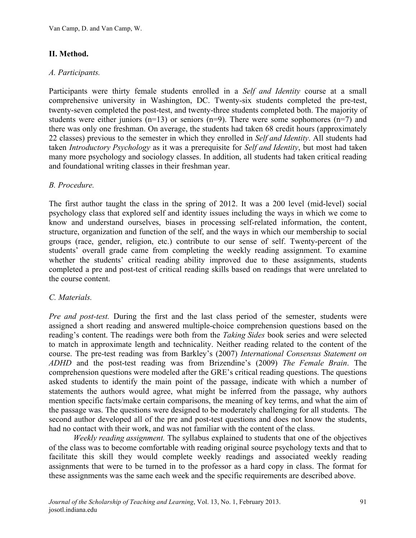## **II. Method.**

#### *A. Participants.*

Participants were thirty female students enrolled in a *Self and Identity* course at a small comprehensive university in Washington, DC. Twenty-six students completed the pre-test, twenty-seven completed the post-test, and twenty-three students completed both. The majority of students were either juniors ( $n=13$ ) or seniors ( $n=9$ ). There were some sophomores ( $n=7$ ) and there was only one freshman. On average, the students had taken 68 credit hours (approximately 22 classes) previous to the semester in which they enrolled in *Self and Identity*. All students had taken *Introductory Psychology* as it was a prerequisite for *Self and Identity*, but most had taken many more psychology and sociology classes. In addition, all students had taken critical reading and foundational writing classes in their freshman year.

#### *B. Procedure.*

The first author taught the class in the spring of 2012. It was a 200 level (mid-level) social psychology class that explored self and identity issues including the ways in which we come to know and understand ourselves, biases in processing self-related information, the content, structure, organization and function of the self, and the ways in which our membership to social groups (race, gender, religion, etc.) contribute to our sense of self. Twenty-percent of the students' overall grade came from completing the weekly reading assignment. To examine whether the students' critical reading ability improved due to these assignments, students completed a pre and post-test of critical reading skills based on readings that were unrelated to the course content.

#### *C. Materials.*

*Pre and post-test.* During the first and the last class period of the semester, students were assigned a short reading and answered multiple-choice comprehension questions based on the reading's content. The readings were both from the *Taking Sides* book series and were selected to match in approximate length and technicality. Neither reading related to the content of the course. The pre-test reading was from Barkley's (2007) *International Consensus Statement on ADHD* and the post-test reading was from Brizendine's (2009) *The Female Brain*. The comprehension questions were modeled after the GRE's critical reading questions. The questions asked students to identify the main point of the passage, indicate with which a number of statements the authors would agree, what might be inferred from the passage, why authors mention specific facts/make certain comparisons, the meaning of key terms, and what the aim of the passage was. The questions were designed to be moderately challenging for all students. The second author developed all of the pre and post-test questions and does not know the students, had no contact with their work, and was not familiar with the content of the class.

*Weekly reading assignment.* The syllabus explained to students that one of the objectives of the class was to become comfortable with reading original source psychology texts and that to facilitate this skill they would complete weekly readings and associated weekly reading assignments that were to be turned in to the professor as a hard copy in class. The format for these assignments was the same each week and the specific requirements are described above.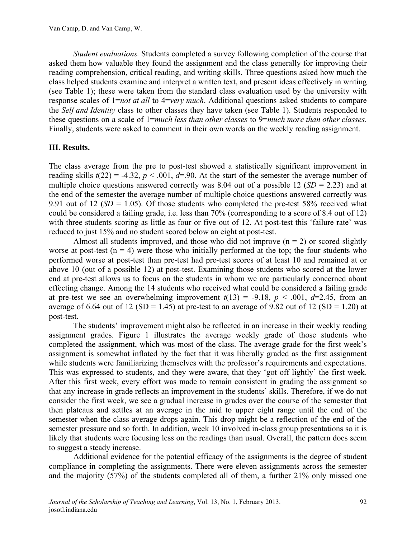*Student evaluations.* Students completed a survey following completion of the course that asked them how valuable they found the assignment and the class generally for improving their reading comprehension, critical reading, and writing skills. Three questions asked how much the class helped students examine and interpret a written text, and present ideas effectively in writing (see Table 1); these were taken from the standard class evaluation used by the university with response scales of 1=*not at all* to 4=*very much*. Additional questions asked students to compare the *Self and Identity* class to other classes they have taken (see Table 1). Students responded to these questions on a scale of 1=*much less than other classes* to 9=*much more than other classes*. Finally, students were asked to comment in their own words on the weekly reading assignment.

### **III. Results.**

The class average from the pre to post-test showed a statistically significant improvement in reading skills  $t(22) = -4.32$ ,  $p < .001$ ,  $d=0.9$ . At the start of the semester the average number of multiple choice questions answered correctly was 8.04 out of a possible 12  $(SD = 2.23)$  and at the end of the semester the average number of multiple choice questions answered correctly was 9.91 out of 12 ( $SD = 1.05$ ). Of those students who completed the pre-test 58% received what could be considered a failing grade, i.e. less than 70% (corresponding to a score of 8.4 out of 12) with three students scoring as little as four or five out of 12. At post-test this 'failure rate' was reduced to just 15% and no student scored below an eight at post-test.

Almost all students improved, and those who did not improve  $(n = 2)$  or scored slightly worse at post-test  $(n = 4)$  were those who initially performed at the top; the four students who performed worse at post-test than pre-test had pre-test scores of at least 10 and remained at or above 10 (out of a possible 12) at post-test. Examining those students who scored at the lower end at pre-test allows us to focus on the students in whom we are particularly concerned about effecting change. Among the 14 students who received what could be considered a failing grade at pre-test we see an overwhelming improvement  $t(13) = -9.18$ ,  $p < .001$ ,  $d=2.45$ , from an average of 6.64 out of 12 (SD = 1.45) at pre-test to an average of 9.82 out of 12 (SD = 1.20) at post-test.

The students' improvement might also be reflected in an increase in their weekly reading assignment grades. Figure 1 illustrates the average weekly grade of those students who completed the assignment, which was most of the class. The average grade for the first week's assignment is somewhat inflated by the fact that it was liberally graded as the first assignment while students were familiarizing themselves with the professor's requirements and expectations. This was expressed to students, and they were aware, that they 'got off lightly' the first week. After this first week, every effort was made to remain consistent in grading the assignment so that any increase in grade reflects an improvement in the students' skills. Therefore, if we do not consider the first week, we see a gradual increase in grades over the course of the semester that then plateaus and settles at an average in the mid to upper eight range until the end of the semester when the class average drops again. This drop might be a reflection of the end of the semester pressure and so forth. In addition, week 10 involved in-class group presentations so it is likely that students were focusing less on the readings than usual. Overall, the pattern does seem to suggest a steady increase.

Additional evidence for the potential efficacy of the assignments is the degree of student compliance in completing the assignments. There were eleven assignments across the semester and the majority (57%) of the students completed all of them, a further 21% only missed one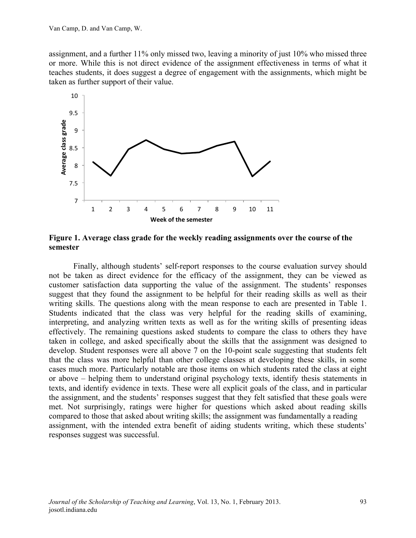assignment, and a further 11% only missed two, leaving a minority of just 10% who missed three or more. While this is not direct evidence of the assignment effectiveness in terms of what it teaches students, it does suggest a degree of engagement with the assignments, which might be taken as further support of their value.



**Figure 1. Average class grade for the weekly reading assignments over the course of the semester**

Finally, although students' self-report responses to the course evaluation survey should not be taken as direct evidence for the efficacy of the assignment, they can be viewed as customer satisfaction data supporting the value of the assignment. The students' responses suggest that they found the assignment to be helpful for their reading skills as well as their writing skills. The questions along with the mean response to each are presented in Table 1. Students indicated that the class was very helpful for the reading skills of examining, interpreting, and analyzing written texts as well as for the writing skills of presenting ideas effectively. The remaining questions asked students to compare the class to others they have taken in college, and asked specifically about the skills that the assignment was designed to develop. Student responses were all above 7 on the 10-point scale suggesting that students felt that the class was more helpful than other college classes at developing these skills, in some cases much more. Particularly notable are those items on which students rated the class at eight or above – helping them to understand original psychology texts, identify thesis statements in texts, and identify evidence in texts. These were all explicit goals of the class, and in particular the assignment, and the students' responses suggest that they felt satisfied that these goals were met. Not surprisingly, ratings were higher for questions which asked about reading skills compared to those that asked about writing skills; the assignment was fundamentally a reading assignment, with the intended extra benefit of aiding students writing, which these students' responses suggest was successful.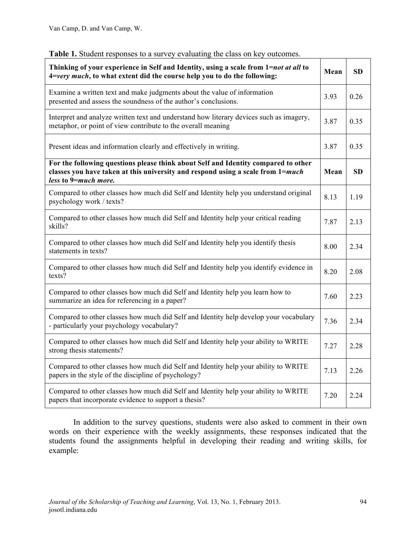| Thinking of your experience in Self and Identity, using a scale from 1=not at all to<br>4=very much, to what extent did the course help you to do the following:                              | Mean | <b>SD</b> |
|-----------------------------------------------------------------------------------------------------------------------------------------------------------------------------------------------|------|-----------|
| Examine a written text and make judgments about the value of information<br>presented and assess the soundness of the author's conclusions.                                                   | 3.93 | 0.26      |
| Interpret and analyze written text and understand how literary devices such as imagery,<br>metaphor, or point of view contribute to the overall meaning                                       | 3.87 | 0.35      |
| Present ideas and information clearly and effectively in writing.                                                                                                                             | 3.87 | 0.35      |
| For the following questions please think about Self and Identity compared to other<br>classes you have taken at this university and respond using a scale from 1=much<br>less to 9=much more. | Mean | <b>SD</b> |
| Compared to other classes how much did Self and Identity help you understand original<br>psychology work / texts?                                                                             | 8.13 | 1.19      |
| Compared to other classes how much did Self and Identity help your critical reading<br>skills?                                                                                                | 7.87 | 2.13      |
| Compared to other classes how much did Self and Identity help you identify thesis<br>statements in texts?                                                                                     | 8.00 | 2.34      |
| Compared to other classes how much did Self and Identity help you identify evidence in<br>texts?                                                                                              | 8.20 | 2.08      |
| Compared to other classes how much did Self and Identity help you learn how to<br>summarize an idea for referencing in a paper?                                                               | 7.60 | 2.23      |
| Compared to other classes how much did Self and Identity help develop your vocabulary<br>- particularly your psychology vocabulary?                                                           | 7.36 | 2.34      |
| Compared to other classes how much did Self and Identity help your ability to WRITE<br>strong thesis statements?                                                                              | 7.27 | 2.28      |
| Compared to other classes how much did Self and Identity help your ability to WRITE<br>papers in the style of the discipline of psychology?                                                   | 7.13 | 2.26      |
| Compared to other classes how much did Self and Identity help your ability to WRITE<br>papers that incorporate evidence to support a thesis?                                                  | 7.20 | 2.24      |

In addition to the survey questions, students were also asked to comment in their own words on their experience with the weekly assignments, these responses indicated that the students found the assignments helpful in developing their reading and writing skills, for example: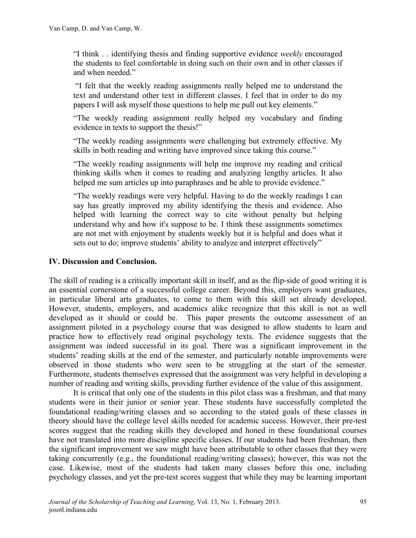"I think . . identifying thesis and finding supportive evidence *weekly* encouraged the students to feel comfortable in doing such on their own and in other classes if and when needed."

"I felt that the weekly reading assignments really helped me to understand the text and understand other text in different classes. I feel that in order to do my papers I will ask myself those questions to help me pull out key elements."

"The weekly reading assignment really helped my vocabulary and finding evidence in texts to support the thesis!"

"The weekly reading assignments were challenging but extremely effective. My skills in both reading and writing have improved since taking this course."

"The weekly reading assignments will help me improve my reading and critical thinking skills when it comes to reading and analyzing lengthy articles. It also helped me sum articles up into paraphrases and be able to provide evidence."

"The weekly readings were very helpful. Having to do the weekly readings I can say has greatly improved my ability identifying the thesis and evidence. Also helped with learning the correct way to cite without penalty but helping understand why and how it's suppose to be. I think these assignments sometimes are not met with enjoyment by students weekly but it is helpful and does what it sets out to do; improve students' ability to analyze and interpret effectively"

#### **IV. Discussion and Conclusion.**

The skill of reading is a critically important skill in itself, and as the flip-side of good writing it is an essential cornerstone of a successful college career. Beyond this, employers want graduates, in particular liberal arts graduates, to come to them with this skill set already developed. However, students, employers, and academics alike recognize that this skill is not as well developed as it should or could be. This paper presents the outcome assessment of an assignment piloted in a psychology course that was designed to allow students to learn and practice how to effectively read original psychology texts. The evidence suggests that the assignment was indeed successful in its goal. There was a significant improvement in the students' reading skills at the end of the semester, and particularly notable improvements were observed in those students who were seen to be struggling at the start of the semester. Furthermore, students themselves expressed that the assignment was very helpful in developing a number of reading and writing skills, providing further evidence of the value of this assignment.

It is critical that only one of the students in this pilot class was a freshman, and that many students were in their junior or senior year. These students have successfully completed the foundational reading/writing classes and so according to the stated goals of these classes in theory should have the college level skills needed for academic success. However, their pre-test scores suggest that the reading skills they developed and honed in these foundational courses have not translated into more discipline specific classes. If our students had been freshman, then the significant improvement we saw might have been attributable to other classes that they were taking concurrently (e.g., the foundational reading/writing classes); however, this was not the case. Likewise, most of the students had taken many classes before this one, including psychology classes, and yet the pre-test scores suggest that while they may be learning important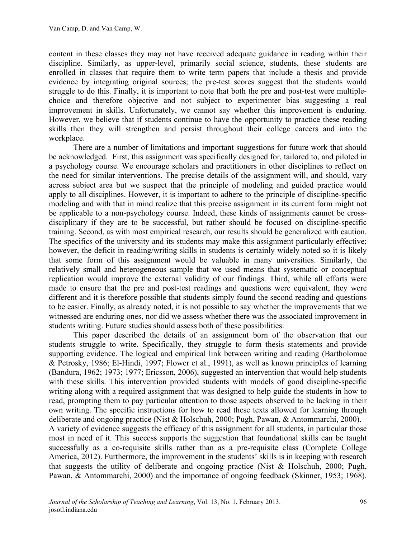content in these classes they may not have received adequate guidance in reading within their discipline. Similarly, as upper-level, primarily social science, students, these students are enrolled in classes that require them to write term papers that include a thesis and provide evidence by integrating original sources; the pre-test scores suggest that the students would struggle to do this. Finally, it is important to note that both the pre and post-test were multiplechoice and therefore objective and not subject to experimenter bias suggesting a real improvement in skills. Unfortunately, we cannot say whether this improvement is enduring. However, we believe that if students continue to have the opportunity to practice these reading skills then they will strengthen and persist throughout their college careers and into the workplace.

There are a number of limitations and important suggestions for future work that should be acknowledged. First, this assignment was specifically designed for, tailored to, and piloted in a psychology course. We encourage scholars and practitioners in other disciplines to reflect on the need for similar interventions. The precise details of the assignment will, and should, vary across subject area but we suspect that the principle of modeling and guided practice would apply to all disciplines. However, it is important to adhere to the principle of discipline-specific modeling and with that in mind realize that this precise assignment in its current form might not be applicable to a non-psychology course. Indeed, these kinds of assignments cannot be crossdisciplinary if they are to be successful, but rather should be focused on discipline-specific training. Second, as with most empirical research, our results should be generalized with caution. The specifics of the university and its students may make this assignment particularly effective; however, the deficit in reading/writing skills in students is certainly widely noted so it is likely that some form of this assignment would be valuable in many universities. Similarly, the relatively small and heterogeneous sample that we used means that systematic or conceptual replication would improve the external validity of our findings. Third, while all efforts were made to ensure that the pre and post-test readings and questions were equivalent, they were different and it is therefore possible that students simply found the second reading and questions to be easier. Finally, as already noted, it is not possible to say whether the improvements that we witnessed are enduring ones, nor did we assess whether there was the associated improvement in students writing. Future studies should assess both of these possibilities.

This paper described the details of an assignment born of the observation that our students struggle to write. Specifically, they struggle to form thesis statements and provide supporting evidence. The logical and empirical link between writing and reading (Bartholomae & Petrosky, 1986; El-Hindi, 1997; Flower et al., 1991), as well as known principles of learning (Bandura, 1962; 1973; 1977; Ericsson, 2006), suggested an intervention that would help students with these skills. This intervention provided students with models of good discipline-specific writing along with a required assignment that was designed to help guide the students in how to read, prompting them to pay particular attention to those aspects observed to be lacking in their own writing. The specific instructions for how to read these texts allowed for learning through deliberate and ongoing practice (Nist & Holschuh, 2000; Pugh, Pawan, & Antommarchi, 2000). A variety of evidence suggests the efficacy of this assignment for all students, in particular those most in need of it. This success supports the suggestion that foundational skills can be taught successfully as a co-requisite skills rather than as a pre-requisite class (Complete College America, 2012). Furthermore, the improvement in the students' skills is in keeping with research that suggests the utility of deliberate and ongoing practice (Nist & Holschuh, 2000; Pugh, Pawan, & Antommarchi, 2000) and the importance of ongoing feedback (Skinner, 1953; 1968).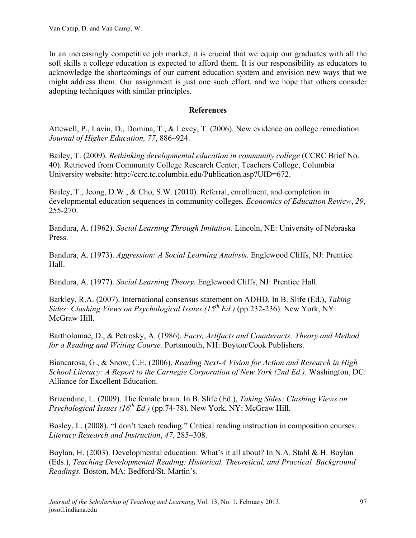In an increasingly competitive job market, it is crucial that we equip our graduates with all the soft skills a college education is expected to afford them. It is our responsibility as educators to acknowledge the shortcomings of our current education system and envision new ways that we might address them. Our assignment is just one such effort, and we hope that others consider adopting techniques with similar principles.

#### **References**

Attewell, P., Lavin, D., Domina, T., & Levey, T. (2006). New evidence on college remediation. *Journal of Higher Education, 77*, 886–924.

Bailey, T. (2009). *Rethinking developmental education in community college* (CCRC Brief No. 40). Retrieved from Community College Research Center, Teachers College, Columbia University website: http://ccrc.tc.columbia.edu/Publication.asp?UID=672.

Bailey, T., Jeong, D.W., & Cho, S.W. (2010). Referral, enrollment, and completion in developmental education sequences in community colleges*. Economics of Education Review*, *29*, 255-270.

Bandura, A. (1962). *Social Learning Through Imitation*. Lincoln, NE: University of Nebraska Press.

Bandura, A. (1973). *Aggression: A Social Learning Analysis.* Englewood Cliffs, NJ: Prentice Hall.

Bandura, A. (1977). *Social Learning Theory.* Englewood Cliffs, NJ: Prentice Hall.

Barkley, R.A. (2007). International consensus statement on ADHD. In B. Slife (Ed.), *Taking Sides: Clashing Views on Psychological Issues (15th Ed.)* (pp.232-236). New York, NY: McGraw Hill.

Bartholomae, D., & Petrosky, A. (1986). *Facts, Artifacts and Counteracts: Theory and Method for a Reading and Writing Course.* Portsmouth, NH: Boyton/Cook Publishers.

Biancarosa, G., & Snow, C.E. (2006). *Reading Next-A Vision for Action and Research in High School Literacy: A Report to the Carnegie Corporation of New York (2nd Ed.).* Washington, DC: Alliance for Excellent Education.

Brizendine, L. (2009). The female brain. In B. Slife (Ed.), *Taking Sides: Clashing Views on Psychological Issues (16<sup>th</sup> Ed.)* (pp.74-78). New York, NY: McGraw Hill.

Bosley, L. (2008). "I don't teach reading:" Critical reading instruction in composition courses. *Literacy Research and Instruction*, *47*, 285–308.

Boylan, H. (2003). Developmental education: What's it all about? In N.A. Stahl & H. Boylan (Eds.), *Teaching Developmental Reading: Historical, Theoretical, and Practical Background Readings.* Boston, MA: Bedford/St. Martin's.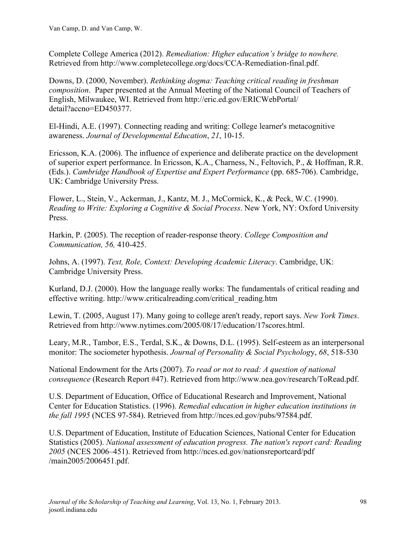Complete College America (2012). *Remediation: Higher education's bridge to nowhere.* Retrieved from http://www.completecollege.org/docs/CCA-Remediation-final.pdf.

Downs, D. (2000, November). *Rethinking dogma: Teaching critical reading in freshman composition*. Paper presented at the Annual Meeting of the National Council of Teachers of English, Milwaukee, WI. Retrieved from http://eric.ed.gov/ERICWebPortal/ detail?accno=ED450377.

El-Hindi, A.E. (1997). Connecting reading and writing: College learner's metacognitive awareness. *Journal of Developmental Education*, *21*, 10-15.

Ericsson, K.A. (2006). The influence of experience and deliberate practice on the development of superior expert performance. In Ericsson, K.A., Charness, N., Feltovich, P., & Hoffman, R.R. (Eds.). *Cambridge Handbook of Expertise and Expert Performance* (pp. 685-706). Cambridge, UK: Cambridge University Press.

Flower, L., Stein, V., Ackerman, J., Kantz, M. J., McCormick, K., & Peck, W.C. (1990). *Reading to Write: Exploring a Cognitive & Social Process*. New York, NY: Oxford University Press.

Harkin, P. (2005). The reception of reader-response theory. *College Composition and Communication, 56,* 410-425.

Johns, A. (1997). *Text, Role, Context: Developing Academic Literacy*. Cambridge, UK: Cambridge University Press.

Kurland, D.J. (2000). How the language really works: The fundamentals of critical reading and effective writing. http://www.criticalreading.com/critical\_reading.htm

Lewin, T. (2005, August 17). Many going to college aren't ready, report says. *New York Times*. Retrieved from http://www.nytimes.com/2005/08/17/education/17scores.html.

Leary, M.R., Tambor, E.S., Terdal, S.K., & Downs, D.L. (1995). Self-esteem as an interpersonal monitor: The sociometer hypothesis. *Journal of Personality & Social Psycholog*y, *68*, 518-530

National Endowment for the Arts (2007). *To read or not to read: A question of national consequence* (Research Report #47). Retrieved from http://www.nea.gov/research/ToRead.pdf.

U.S. Department of Education, Office of Educational Research and Improvement, National Center for Education Statistics. (1996). *Remedial education in higher education institutions in the fall 1995* (NCES 97-584). Retrieved from http://nces.ed.gov/pubs/97584.pdf.

U.S. Department of Education, Institute of Education Sciences, National Center for Education Statistics (2005). *National assessment of education progress. The nation's report card: Reading 2005* (NCES 2006–451). Retrieved from http://nces.ed.gov/nationsreportcard/pdf /main2005/2006451.pdf.